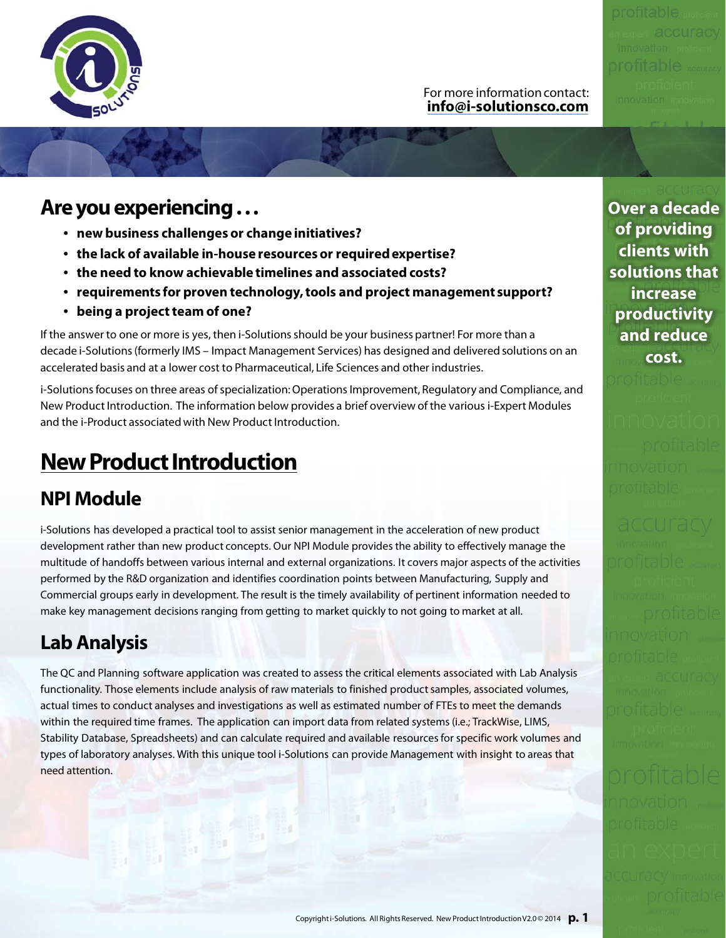

#### For more information contact: **info@i-solutionsco.com**

### **Are you experiencing . . .**

- **new business challenges or change initiatives?**
- **the lack of available in-house resources or required expertise?**
- **the need to know achievable timelines and associated costs?**
- **requirements for proven technology, tools and project management support?**
- **being a project team of one?**

If the answer to one or more is yes, then i-Solutions should be your business partner! For more than a decade i-Solutions (formerly IMS – Impact Management Services) has designed and delivered solutions on an accelerated basis and at a lower cost to Pharmaceutical, Life Sciences and other industries.

i-Solutions focuses on three areas of specialization: Operations Improvement, Regulatory and Compliance, and New Product Introduction. The information below provides a brief overview of the various i-Expert Modules and the i-Product associated with New Product Introduction.

# **New Product Introduction**

#### **NPI Module**

i-Solutions has developed a practical tool to assist senior management in the acceleration of new product development rather than new product concepts. Our NPI Module provides the ability to effectively manage the multitude of handoffs between various internal and external organizations. It covers major aspects of the activities performed by the R&D organization and identifies coordination points between Manufacturing, Supply and Commercial groups early in development. The result is the timely availability of pertinent information needed to make key management decisions ranging from getting to market quickly to not going to market at all.

### **Lab Analysis**

The QC and Planning software application was created to assess the critical elements associated with Lab Analysis functionality. Those elements include analysis of raw materials to finished product samples, associated volumes, actual times to conduct analyses and investigations as well as estimated number of FTEs to meet the demands within the required time frames. The application can import data from related systems (i.e.; TrackWise, LIMS, Stability Database, Spreadsheets) and can calculate required and available resources for specific work volumes and types of laboratory analyses. With this unique tool i-Solutions can provide Management with insight to areas that need attention.

**Over a decade** of providing clients with solutions that **increase productivity** profitable proficient and reduce **indox** cost.

profitable proficient

innovation profitable

profit and the local property of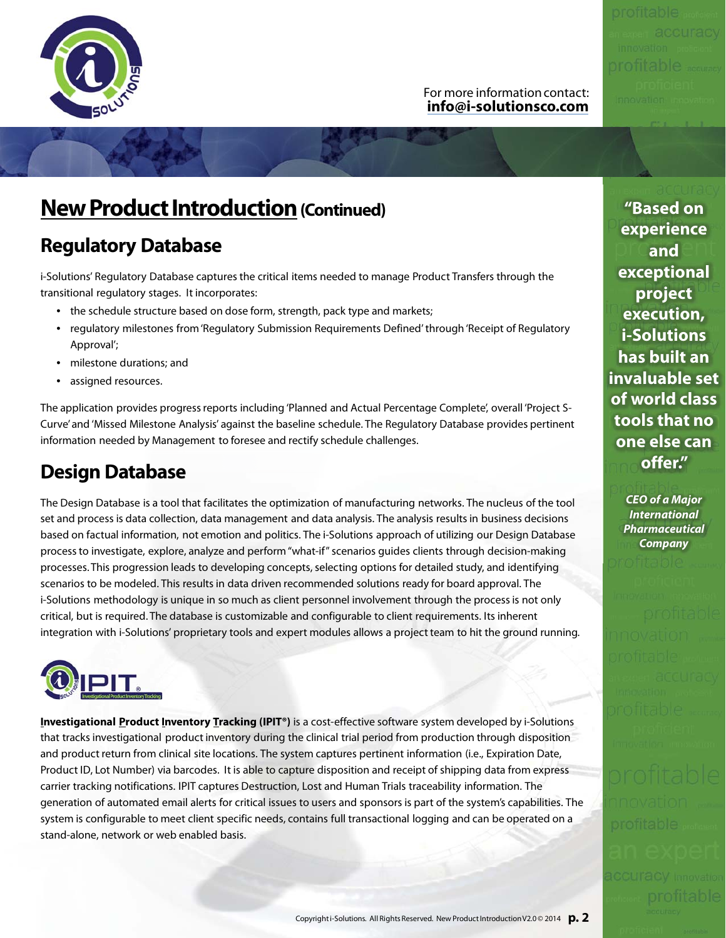

#### For more information contact: **info@i-solutionsco.com**

profitable proficient

innovation profitable

profit and the local property of

# **New Product Introduction (Continued)**

### **Regulatory Database**

i-Solutions' Regulatory Database captures the critical items needed to manage Product Transfers through the transitional regulatory stages. It incorporates:

- the schedule structure based on dose form, strength, pack type and markets;
- regulatory milestones from 'Regulatory Submission Requirements Defined' through 'Receipt of Regulatory Approval';
- milestone durations; and
- assigned resources.

The application provides progress reports including 'Planned and Actual Percentage Complete', overall 'Project S-Curve' and 'Missed Milestone Analysis' against the baseline schedule. The Regulatory Database provides pertinent information needed by Management to foresee and rectify schedule challenges.

# **Design Database**

The Design Database is a tool that facilitates the optimization of manufacturing networks. The nucleus of the tool set and process is data collection, data management and data analysis. The analysis results in business decisions based on factual information, not emotion and politics. The i-Solutions approach of utilizing our Design Database process to investigate, explore, analyze and perform "what-if" scenarios guides clients through decision-making processes. This progression leads to developing concepts, selecting options for detailed study, and identifying scenarios to be modeled. This results in data driven recommended solutions ready for board approval. The i-Solutions methodology is unique in so much as client personnel involvement through the process is not only critical, but is required. The database is customizable and configurable to client requirements. Its inherent integration with i-Solutions' proprietary tools and expert modules allows a project team to hit the ground running.



**Investigational Product Inventory Tracking (IPIT®)** is a cost-effective software system developed by i-Solutions that tracks investigational product inventory during the clinical trial period from production through disposition and product return from clinical site locations. The system captures pertinent information (i.e., Expiration Date, Product ID, Lot Number) via barcodes. It is able to capture disposition and receipt of shipping data from express carrier tracking notifications. IPIT captures Destruction, Lost and Human Trials traceability information. The generation of automated email alerts for critical issues to users and sponsors is part of the system's capabilities. The system is configurable to meet client specific needs, contains full transactional logging and can be operated on a stand-alone, network or web enabled basis.

**"Based on experience**  $\rho \dot{\textbf{r}}$  and  $\textbf{m}$ **exceptional below indox**<br>**execution,**  $P_{\text{e}}$ an expertise accuracy<br>The contract accuracy has built an invaluable set **of world class tools that no one else can induced** profiter." **i-Solutions** 

profitable <sub>upform</sub> **CEO of a Major** accuracy **Pharmaceutical**  *Company* **International**